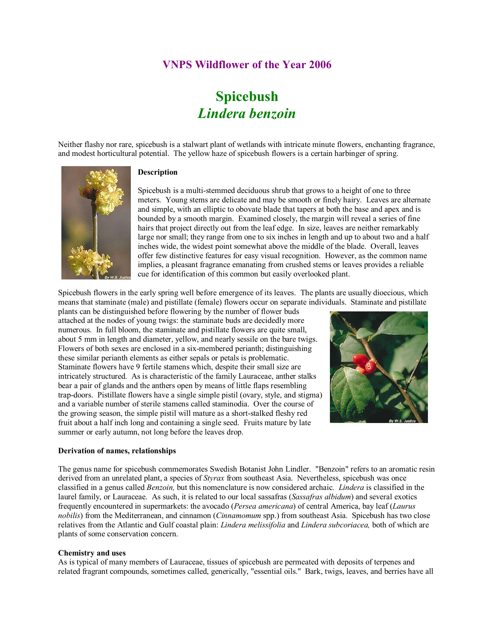# **VNPS Wildflower of the Year 2006**

# **Spicebush** *Lindera benzoin*

Neither flashy nor rare, spicebush is a stalwart plant of wetlands with intricate minute flowers, enchanting fragrance, and modest horticultural potential. The yellow haze of spicebush flowers is a certain harbinger of spring.



## **Description**

Spicebush is a multi-stemmed deciduous shrub that grows to a height of one to three meters. Young stems are delicate and may be smooth or finely hairy. Leaves are alternate and simple, with an elliptic to obovate blade that tapers at both the base and apex and is bounded by a smooth margin. Examined closely, the margin will reveal a series of fine hairs that project directly out from the leaf edge. In size, leaves are neither remarkably large nor small; they range from one to six inches in length and up to about two and a half inches wide, the widest point somewhat above the middle of the blade. Overall, leaves offer few distinctive features for easy visual recognition. However, as the common name implies, a pleasant fragrance emanating from crushed stems or leaves provides a reliable cue for identification of this common but easily overlooked plant.

Spicebush flowers in the early spring well before emergence of its leaves. The plants are usually dioecious, which means that staminate (male) and pistillate (female) flowers occur on separate individuals. Staminate and pistillate

plants can be distinguished before flowering by the number of flower buds attached at the nodes of young twigs: the staminate buds are decidedly more numerous. In full bloom, the staminate and pistillate flowers are quite small, about 5 mm in length and diameter, yellow, and nearly sessile on the bare twigs. Flowers of both sexes are enclosed in a six-membered perianth; distinguishing these similar perianth elements as either sepals or petals is problematic. Staminate flowers have 9 fertile stamens which, despite their small size are intricately structured. As is characteristic of the family Lauraceae, anther stalks bear a pair of glands and the anthers open by means of little flaps resembling trap-doors. Pistillate flowers have a single simple pistil (ovary, style, and stigma) and a variable number of sterile stamens called staminodia. Over the course of the growing season, the simple pistil will mature as a short-stalked fleshy red fruit about a half inch long and containing a single seed. Fruits mature by late summer or early autumn, not long before the leaves drop.



#### **Derivation of names, relationships**

The genus name for spicebush commemorates Swedish Botanist John Lindler. "Benzoin" refers to an aromatic resin derived from an unrelated plant, a species of *Styrax* from southeast Asia. Nevertheless, spicebush was once classified in a genus called *Benzoin,* but this nomenclature is now considered archaic. *Lindera* is classified in the laurel family, or Lauraceae. As such, it is related to our local sassafras (*Sassafras albidum*) and several exotics frequently encountered in supermarkets: the avocado (*Persea americana*) of central America, bay leaf (*Laurus nobilis*) from the Mediterranean, and cinnamon (*Cinnamomum* spp.) from southeast Asia. Spicebush has two close relatives from the Atlantic and Gulf coastal plain: *Lindera melissifolia* and *Lindera subcoriacea,* both of which are plants of some conservation concern.

#### **Chemistry and uses**

As is typical of many members of Lauraceae, tissues of spicebush are permeated with deposits of terpenes and related fragrant compounds, sometimes called, generically, "essential oils." Bark, twigs, leaves, and berries have all